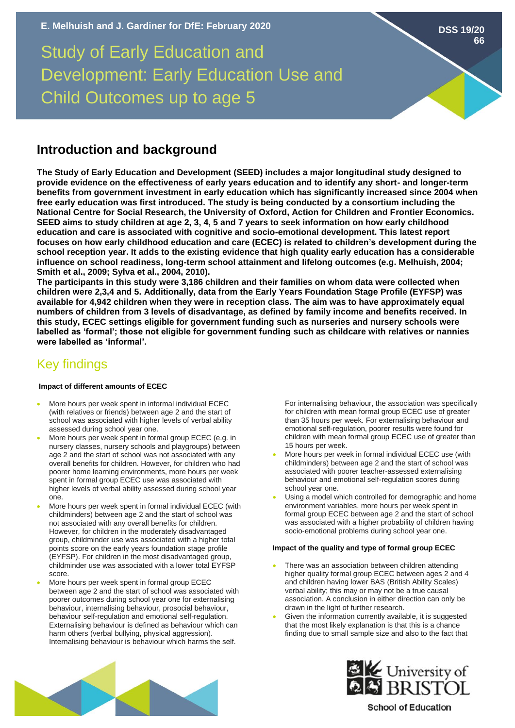# Study of Early Education and Development: Early Education Use and Child Outcomes up to age 5

## **Introduction and background**

**The Study of Early Education and Development (SEED) includes a major longitudinal study designed to provide evidence on the effectiveness of early years education and to identify any short- and longer-term benefits from government investment in early education which has significantly increased since 2004 when free early education was first introduced. The study is being conducted by a consortium including the National Centre for Social Research, the University of Oxford, Action for Children and Frontier Economics. SEED aims to study children at age 2, 3, 4, 5 and 7 years to seek information on how early childhood education and care is associated with cognitive and socio-emotional development. This latest report focuses on how early childhood education and care (ECEC) is related to children's development during the school reception year. It adds to the existing evidence that high quality early education has a considerable influence on school readiness, long-term school attainment and lifelong outcomes (e.g. Melhuish, 2004; Smith et al., 2009; Sylva et al., 2004, 2010).** 

**The participants in this study were 3,186 children and their families on whom data were collected when children were 2,3,4 and 5. Additionally, data from the Early Years Foundation Stage Profile (EYFSP) was available for 4,942 children when they were in reception class. The aim was to have approximately equal numbers of children from 3 levels of disadvantage, as defined by family income and benefits received. In this study, ECEC settings eligible for government funding such as nurseries and nursery schools were labelled as 'formal'; those not eligible for government funding such as childcare with relatives or nannies were labelled as 'informal'.**

# Key findings

## **Impact of different amounts of ECEC**

- More hours per week spent in informal individual ECEC (with relatives or friends) between age 2 and the start of school was associated with higher levels of verbal ability assessed during school year one.
- More hours per week spent in formal group ECEC (e.g. in nursery classes, nursery schools and playgroups) between age 2 and the start of school was not associated with any overall benefits for children. However, for children who had poorer home learning environments, more hours per week spent in formal group ECEC use was associated with higher levels of verbal ability assessed during school year one.
- More hours per week spent in formal individual ECEC (with childminders) between age 2 and the start of school was not associated with any overall benefits for children. However, for children in the moderately disadvantaged group, childminder use was associated with a higher total points score on the early years foundation stage profile (EYFSP). For children in the most disadvantaged group, childminder use was associated with a lower total EYFSP score.
- More hours per week spent in formal group ECEC between age 2 and the start of school was associated with poorer outcomes during school year one for externalising behaviour, internalising behaviour, prosocial behaviour, behaviour self-regulation and emotional self-regulation. Externalising behaviour is defined as behaviour which can harm others (verbal bullying, physical aggression). Internalising behaviour is behaviour which harms the self.

For internalising behaviour, the association was specifically for children with mean formal group ECEC use of greater than 35 hours per week. For externalising behaviour and emotional self-regulation, poorer results were found for children with mean formal group ECEC use of greater than 15 hours per week.

- More hours per week in formal individual ECEC use (with childminders) between age 2 and the start of school was associated with poorer teacher-assessed externalising behaviour and emotional self-regulation scores during school year one.
- Using a model which controlled for demographic and home environment variables, more hours per week spent in formal group ECEC between age 2 and the start of school was associated with a higher probability of children having socio-emotional problems during school year one.

### **Impact of the quality and type of formal group ECEC**

- There was an association between children attending higher quality formal group ECEC between ages 2 and 4 and children having lower BAS (British Ability Scales) verbal ability; this may or may not be a true causal association. A conclusion in either direction can only be drawn in the light of further research.
- Given the information currently available, it is suggested that the most likely explanation is that this is a chance finding due to small sample size and also to the fact that





## **School of Education**

**DSS 19/20 66**